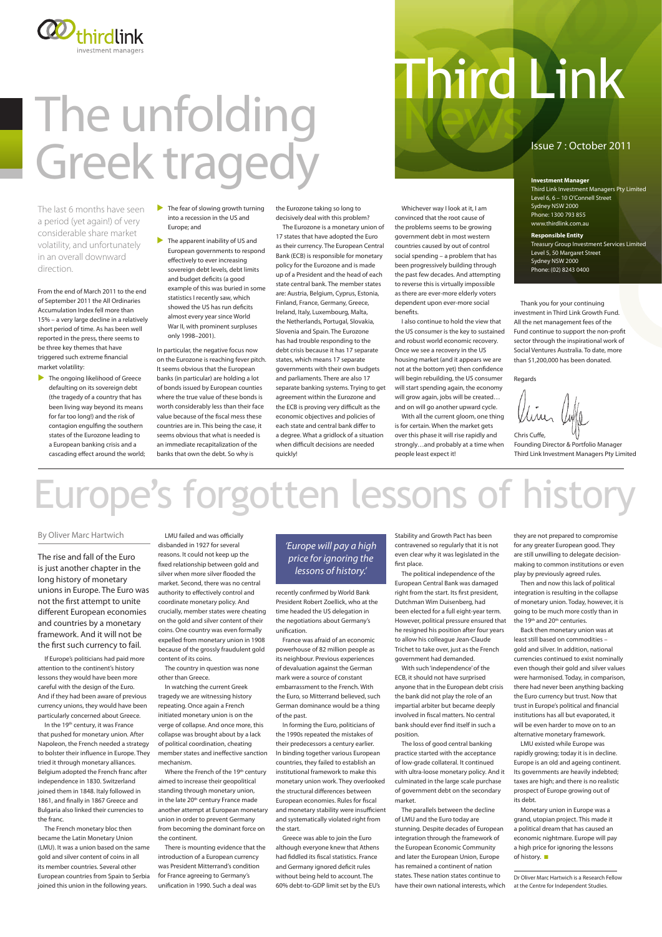Whichever way I look at it, I am convinced that the root cause of the problems seems to be growing government debt in most western countries caused by out of control social spending – a problem that has been progressively building through the past few decades. And attempting to reverse this is virtually impossible as there are ever-more elderly voters dependent upon ever-more social benefits.

I also continue to hold the view that the US consumer is the key to sustained and robust world economic recovery. Once we see a recovery in the US housing market (and it appears we are not at the bottom yet) then confidence will begin rebuilding, the US consumer will start spending again, the economy will grow again, jobs will be created… and on will go another upward cycle.

With all the current gloom, one thing is for certain. When the market gets over this phase it will rise rapidly and strongly…and probably at a time when people least expect it!

# Third Link

#### Issue 7 : October 2011

the Eurozone taking so long to decisively deal with this problem?

The Eurozone is a monetary union of 17 states that have adopted the Euro as their currency. The European Central Bank (ECB) is responsible for monetary policy for the Eurozone and is made up of a President and the head of each state central bank. The member states are: Austria, Belgium, Cyprus, Estonia, Finland, France, Germany, Greece, Ireland, Italy, Luxembourg, Malta, the Netherlands, Portugal, Slovakia, Slovenia and Spain. The Eurozone has had trouble responding to the debt crisis because it has 17 separate states, which means 17 separate governments with their own budgets and parliaments. There are also 17 separate banking systems. Trying to get agreement within the Eurozone and the ECB is proving very difficult as the economic objectives and policies of each state and central bank differ to a degree. What a gridlock of a situation when difficult decisions are needed quickly!

Where the French of the 19<sup>th</sup> century aimed to increase their geopolitical standing through monetary union, in the late 20<sup>th</sup> century France made another attempt at European monetary union in order to prevent Germany from becoming the dominant force on the continent.

LMU failed and was officially disbanded in 1927 for several reasons. It could not keep up the fixed relationship between gold and silver when more silver flooded the market. Second, there was no central authority to effectively control and coordinate monetary policy. And crucially, member states were cheating on the gold and silver content of their coins. One country was even formally expelled from monetary union in 1908 because of the grossly fraudulent gold content of its coins.

 $\blacktriangleright$  The fear of slowing growth turning into a recession in the US and Europe; and

The country in question was none other than Greece.

 $\blacktriangleright$  The apparent inability of US and European governments to respond effectively to ever increasing sovereign debt levels, debt limits and budget deficits (a good example of this was buried in some statistics I recently saw, which showed the US has run deficits almost every year since World War II, with prominent surpluses only 1998–2001).

In watching the current Greek tragedy we are witnessing history repeating. Once again a French initiated monetary union is on the verge of collapse. And once more, this collapse was brought about by a lack of political coordination, cheating member states and ineffective sanction mechanism.

There is mounting evidence that the introduction of a European currency was President Mitterrand's condition for France agreeing to Germany's unification in 1990. Such a deal was

recently confirmed by World Bank President Robert Zoellick, who at the time headed the US delegation in the negotiations about Germany's unification.

 $\blacktriangleright$  The ongoing likelihood of Greece defaulting on its sovereign debt (the tragedy of a country that has been living way beyond its means for far too long!) and the risk of contagion engulfing the southern states of the Eurozone leading to a European banking crisis and a cascading effect around the world;

If Europe's politicians had paid more attention to the continent's history lessons they would have been more careful with the design of the Euro. And if they had been aware of previous urrency unions, they would have been

France was afraid of an economic powerhouse of 82 million people as its neighbour. Previous experiences of devaluation against the German mark were a source of constant embarrassment to the French. With the Euro, so Mitterrand believed, such German dominance would be a thing

of the past.

In forming the Euro, politicians of the 1990s repeated the mistakes of their predecessors a century earlier. In binding together various European countries, they failed to establish an institutional framework to make this monetary union work. They overlooked the structural differences between European economies. Rules for fiscal and monetary stability were insufficient and systematically violated right from the start.

Greece was able to join the Euro although everyone knew that Athens had fiddled its fiscal statistics. France and Germany ignored deficit rules without being held to account. The 60% debt-to-GDP limit set by the EU's

#### *'Europe will pay a high price for ignoring the lessons of history.'*

Thank you for your continuing investment in Third Link Growth Fund. All the net management fees of the Fund continue to support the non-profit sector through the inspirational work of Social Ventures Australia. To date, more than \$1,200,000 has been donated.

Regards

### Europe's forgotten lessons of history

Then and now this lack of political integration is resulting in the collapse of monetary union. Today, however, it is going to be much more costly than in the 19<sup>th</sup> and 20<sup>th</sup> centuries.

Monetary union in Europe was a grand, utopian project. This made it a political dream that has caused an economic nightmare. Europe will pay a high price for ignoring the lessons of history.  $\square$ 

In particular, the negative focus now on the Eurozone is reaching fever pitch. It seems obvious that the European banks (in particular) are holding a lot of bonds issued by European counties where the true value of these bonds is worth considerably less than their face value because of the fiscal mess these countries are in. This being the case, it seems obvious that what is needed is an immediate recapitalization of the banks that own the debt. So why is

#### **Investment Manager**

Third Link Investment Managers Pty Limited Level 6, 6 – 10 O'Connell Street Sydney NSW 2000 Phone: 1300 793 855 www.thirdlink.com.au

**Responsible Entity** Treasury Group Investment Services Limited Level 5, 50 Margaret Street Sydney NSW 2000 Phone: (02) 8243 0400

The last 6 months have seen a period (yet again!) of very considerable share market volatility, and unfortunately in an overall downward direction.

From the end of March 2011 to the end of September 2011 the All Ordinaries Accumulation Index fell more than 15% – a very large decline in a relatively short period of time. As has been well reported in the press, there seems to be three key themes that have triggered such extreme financial market volatility:

#### By Oliver Marc Hartwich

The rise and fall of the Euro is just another chapter in the long history of monetary unions in Europe. The Euro was not the first attempt to unite different European economies and countries by a monetary framework. And it will not be the first such currency to fail.

particularly concerned about Greece.

In the 19th century, it was France that pushed for monetary union. After Napoleon, the French needed a strategy to bolster their influence in Europe. They tried it through monetary alliances. Belgium adopted the French franc after independence in 1830. Switzerland joined them in 1848. Italy followed in 1861, and finally in 1867 Greece and Bulgaria also linked their currencies to the franc.

The French monetary bloc then became the Latin Monetary Union (LMU). It was a union based on the same gold and silver content of coins in all its member countries. Several other European countries from Spain to Serbia joined this union in the following years.

Stability and Growth Pact has been contravened so regularly that it is not even clear why it was legislated in the first place.

The political independence of the European Central Bank was damaged right from the start. Its first president, Dutchman Wim Duisenberg, had been elected for a full eight-year term. However, political pressure ensured that he resigned his position after four years to allow his colleague Jean-Claude Trichet to take over, just as the French government had demanded.

With such 'independence' of the ECB, it should not have surprised anyone that in the European debt crisis the bank did not play the role of an impartial arbiter but became deeply involved in fiscal matters. No central bank should ever find itself in such a position.

The loss of good central banking practice started with the acceptance of low-grade collateral. It continued with ultra-loose monetary policy. And it culminated in the large scale purchase of government debt on the secondary market.

The parallels between the decline of LMU and the Euro today are stunning. Despite decades of European integration through the framework of the European Economic Community and later the European Union, Europe has remained a continent of nation states. These nation states continue to have their own national interests, which

Chris Cuffe, Founding Director & Portfolio Manager Third Link Investment Managers Pty Limited

they are not prepared to compromise for any greater European good. They are still unwilling to delegate decisionmaking to common institutions or even play by previously agreed rules.

Back then monetary union was at least still based on commodities – gold and silver. In addition, national currencies continued to exist nominally even though their gold and silver values were harmonised. Today, in comparison, there had never been anything backing the Euro currency but trust. Now that trust in Europe's political and financial institutions has all but evaporated, it will be even harder to move on to an alternative monetary framework.

LMU existed while Europe was rapidly growing; today it is in decline. Europe is an old and ageing continent. Its governments are heavily indebted; taxes are high; and there is no realistic prospect of Europe growing out of its debt.

Dr Oliver Marc Hartwich is a Research Fellow at the Centre for Independent Studies.



## The unfolding Greek tragedy